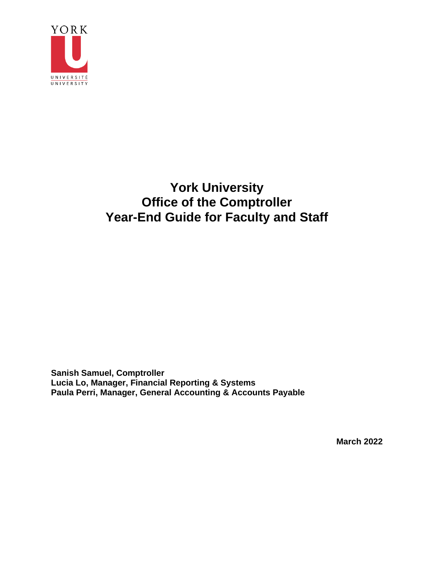

# **York University Office of the Comptroller Year-End Guide for Faculty and Staff**

**Sanish Samuel, Comptroller Lucia Lo, Manager, Financial Reporting & Systems Paula Perri, Manager, General Accounting & Accounts Payable**

**March 2022**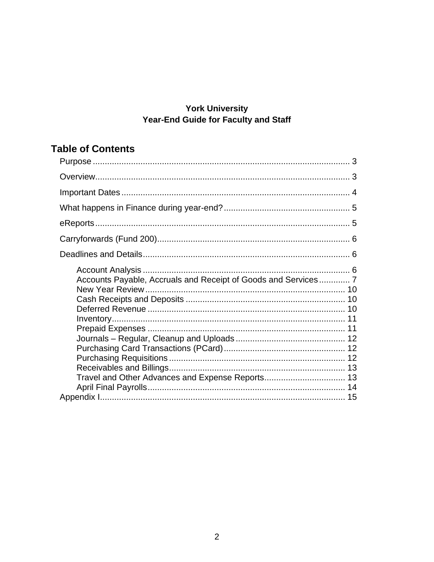## **York University** Year-End Guide for Faculty and Staff

# <span id="page-1-0"></span>**Table of Contents**

| Accounts Payable, Accruals and Receipt of Goods and Services 7 |
|----------------------------------------------------------------|
|                                                                |
|                                                                |
|                                                                |
|                                                                |
|                                                                |
|                                                                |
|                                                                |
|                                                                |
|                                                                |
|                                                                |
|                                                                |
|                                                                |
|                                                                |
|                                                                |
|                                                                |
|                                                                |
|                                                                |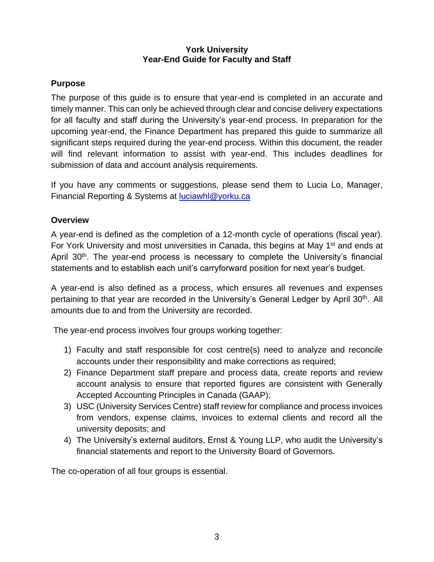#### **York University Year-End Guide for Faculty and Staff**

## <span id="page-2-0"></span>**[Purpose](#page-1-0)**

The purpose of this guide is to ensure that year-end is completed in an accurate and timely manner. This can only be achieved through clear and concise delivery expectations for all faculty and staff during the University's year-end process. In preparation for the upcoming year-end, the Finance Department has prepared this guide to summarize all significant steps required during the year-end process. Within this document, the reader will find relevant information to assist with year-end. This includes deadlines for submission of data and account analysis requirements.

If you have any comments or suggestions, please send them to Lucia Lo, Manager, Financial Reporting & Systems at [luciawhl@yorku.ca](mailto:luciawhl@yorku.ca)

#### <span id="page-2-1"></span>**[Overview](#page-1-0)**

A year-end is defined as the completion of a 12-month cycle of operations (fiscal year). For York University and most universities in Canada, this begins at May 1<sup>st</sup> and ends at April  $30<sup>th</sup>$ . The year-end process is necessary to complete the University's financial statements and to establish each unit's carryforward position for next year's budget.

A year-end is also defined as a process, which ensures all revenues and expenses pertaining to that year are recorded in the University's General Ledger by April 30<sup>th</sup>. All amounts due to and from the University are recorded.

The year-end process involves four groups working together:

- 1) Faculty and staff responsible for cost centre(s) need to analyze and reconcile accounts under their responsibility and make corrections as required;
- 2) Finance Department staff prepare and process data, create reports and review account analysis to ensure that reported figures are consistent with Generally Accepted Accounting Principles in Canada (GAAP);
- 3) USC (University Services Centre) staff review for compliance and process invoices from vendors, expense claims, invoices to external clients and record all the university deposits; and
- 4) The University's external auditors, Ernst & Young LLP, who audit the University's financial statements and report to the University Board of Governors.

The co-operation of all four groups is essential.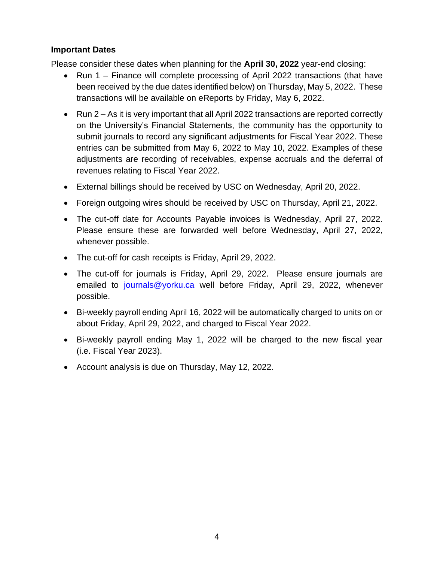## <span id="page-3-0"></span>**Important Dates**

Please consider these dates when planning for the **April 30, 2022** year-end closing:

- Run 1 Finance will complete processing of April 2022 transactions (that have been received by the due dates identified below) on Thursday, May 5, 2022. These transactions will be available on eReports by Friday, May 6, 2022.
- Run 2 As it is very important that all April 2022 transactions are reported correctly on the University's Financial Statements, the community has the opportunity to submit journals to record any significant adjustments for Fiscal Year 2022. These entries can be submitted from May 6, 2022 to May 10, 2022. Examples of these adjustments are recording of receivables, expense accruals and the deferral of revenues relating to Fiscal Year 2022.
- External billings should be received by USC on Wednesday, April 20, 2022.
- Foreign outgoing wires should be received by USC on Thursday, April 21, 2022.
- The cut-off date for Accounts Payable invoices is Wednesday, April 27, 2022. Please ensure these are forwarded well before Wednesday, April 27, 2022, whenever possible.
- The cut-off for cash receipts is Friday, April 29, 2022.
- The cut-off for journals is Friday, April 29, 2022. Please ensure journals are emailed to [journals@yorku.ca](mailto:journals@yorku.ca) well before Friday, April 29, 2022, whenever possible.
- Bi-weekly payroll ending April 16, 2022 will be automatically charged to units on or about Friday, April 29, 2022, and charged to Fiscal Year 2022.
- Bi-weekly payroll ending May 1, 2022 will be charged to the new fiscal year (i.e. Fiscal Year 2023).
- Account analysis is due on Thursday, May 12, 2022.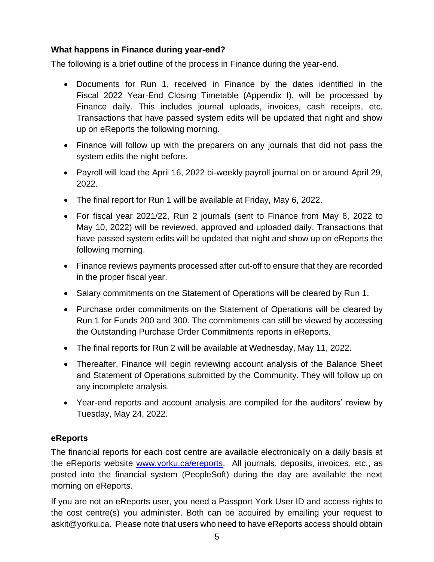## <span id="page-4-0"></span>**What happens in Finance during year-end?**

The following is a brief outline of the process in Finance during the year-end.

- Documents for Run 1, received in Finance by the dates identified in the Fiscal 2022 Year-End Closing Timetable (Appendix I), will be processed by Finance daily. This includes journal uploads, invoices, cash receipts, etc. Transactions that have passed system edits will be updated that night and show up on eReports the following morning.
- Finance will follow up with the preparers on any journals that did not pass the system edits the night before.
- Payroll will load the April 16, 2022 bi-weekly payroll journal on or around April 29, 2022.
- The final report for Run 1 will be available at Friday, May 6, 2022.
- For fiscal year 2021/22, Run 2 journals (sent to Finance from May 6, 2022 to May 10, 2022) will be reviewed, approved and uploaded daily. Transactions that have passed system edits will be updated that night and show up on eReports the following morning.
- Finance reviews payments processed after cut-off to ensure that they are recorded in the proper fiscal year.
- Salary commitments on the Statement of Operations will be cleared by Run 1.
- Purchase order commitments on the Statement of Operations will be cleared by Run 1 for Funds 200 and 300. The commitments can still be viewed by accessing the Outstanding Purchase Order Commitments reports in eReports.
- The final reports for Run 2 will be available at Wednesday, May 11, 2022.
- Thereafter, Finance will begin reviewing account analysis of the Balance Sheet and Statement of Operations submitted by the Community. They will follow up on any incomplete analysis.
- Year-end reports and account analysis are compiled for the auditors' review by Tuesday, May 24, 2022.

## <span id="page-4-1"></span>**[eReports](#page-1-0)**

The financial reports for each cost centre are available electronically on a daily basis at the eReports website [www.yorku.ca/ereports.](http://www.yorku.ca/ereports) All journals, deposits, invoices, etc., as posted into the financial system (PeopleSoft) during the day are available the next morning on eReports.

If you are not an eReports user, you need a Passport York User ID and access rights to the cost centre(s) you administer. Both can be acquired by emailing your request to askit@yorku.ca. Please note that users who need to have eReports access should obtain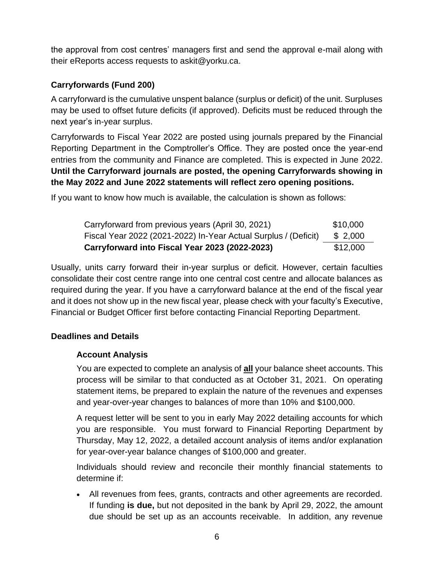the approval from cost centres' managers first and send the approval e-mail along with their eReports access requests to askit@yorku.ca.

## <span id="page-5-0"></span>**[Carryforwards](#page-1-0) (Fund 200)**

A carryforward is the cumulative unspent balance (surplus or deficit) of the unit. Surpluses may be used to offset future deficits (if approved). Deficits must be reduced through the next year's in-year surplus.

Carryforwards to Fiscal Year 2022 are posted using journals prepared by the Financial Reporting Department in the Comptroller's Office. They are posted once the year-end entries from the community and Finance are completed. This is expected in June 2022. **Until the Carryforward journals are posted, the opening Carryforwards showing in the May 2022 and June 2022 statements will reflect zero opening positions.**

If you want to know how much is available, the calculation is shown as follows:

| Carryforward from previous years (April 30, 2021)               | \$10,000 |
|-----------------------------------------------------------------|----------|
| Fiscal Year 2022 (2021-2022) In-Year Actual Surplus / (Deficit) | \$2,000  |
| Carryforward into Fiscal Year 2023 (2022-2023)                  | \$12,000 |

Usually, units carry forward their in-year surplus or deficit. However, certain faculties consolidate their cost centre range into one central cost centre and allocate balances as required during the year. If you have a carryforward balance at the end of the fiscal year and it does not show up in the new fiscal year, please check with your faculty's Executive, Financial or Budget Officer first before contacting Financial Reporting Department.

#### <span id="page-5-1"></span>**Deadlines and Details**

#### <span id="page-5-2"></span>**[Account Analysis](#page-1-0)**

You are expected to complete an analysis of **all** your balance sheet accounts. This process will be similar to that conducted as at October 31, 2021. On operating statement items, be prepared to explain the nature of the revenues and expenses and year-over-year changes to balances of more than 10% and \$100,000.

A request letter will be sent to you in early May 2022 detailing accounts for which you are responsible. You must forward to Financial Reporting Department by Thursday, May 12, 2022, a detailed account analysis of items and/or explanation for year-over-year balance changes of \$100,000 and greater.

Individuals should review and reconcile their monthly financial statements to determine if:

• All revenues from fees, grants, contracts and other agreements are recorded. If funding **is due,** but not deposited in the bank by April 29, 2022, the amount due should be set up as an accounts receivable. In addition, any revenue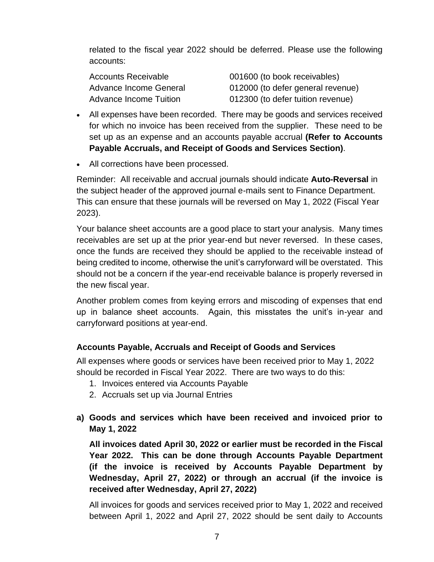related to the fiscal year 2022 should be deferred. Please use the following accounts:

| <b>Accounts Receivable</b>    | 001600 (to book receivables)      |
|-------------------------------|-----------------------------------|
| Advance Income General        | 012000 (to defer general revenue) |
| <b>Advance Income Tuition</b> | 012300 (to defer tuition revenue) |

- All expenses have been recorded. There may be goods and services received for which no invoice has been received from the supplier. These need to be set up as an expense and an accounts payable accrual **(Refer to Accounts Payable Accruals, and Receipt of Goods and Services Section)**.
- All corrections have been processed.

Reminder: All receivable and accrual journals should indicate **Auto-Reversal** in the subject header of the approved journal e-mails sent to Finance Department. This can ensure that these journals will be reversed on May 1, 2022 (Fiscal Year 2023).

Your balance sheet accounts are a good place to start your analysis. Many times receivables are set up at the prior year-end but never reversed. In these cases, once the funds are received they should be applied to the receivable instead of being credited to income, otherwise the unit's carryforward will be overstated. This should not be a concern if the year-end receivable balance is properly reversed in the new fiscal year.

Another problem comes from keying errors and miscoding of expenses that end up in balance sheet accounts. Again, this misstates the unit's in-year and carryforward positions at year-end.

#### <span id="page-6-0"></span>**Accounts [Payable, Accruals and Receipt of Goods and Services](#page-1-0)**

All expenses where goods or services have been received prior to May 1, 2022 should be recorded in Fiscal Year 2022. There are two ways to do this:

- 1. Invoices entered via Accounts Payable
- 2. Accruals set up via Journal Entries
- **a) Goods and services which have been received and invoiced prior to May 1, 2022**

**All invoices dated April 30, 2022 or earlier must be recorded in the Fiscal Year 2022. This can be done through Accounts Payable Department (if the invoice is received by Accounts Payable Department by Wednesday, April 27, 2022) or through an accrual (if the invoice is received after Wednesday, April 27, 2022)**

All invoices for goods and services received prior to May 1, 2022 and received between April 1, 2022 and April 27, 2022 should be sent daily to Accounts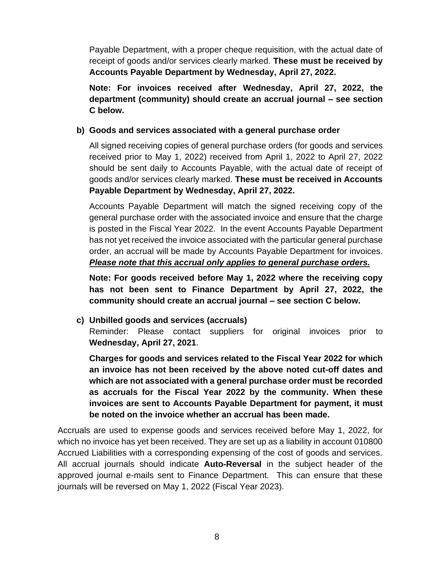Payable Department, with a proper cheque requisition, with the actual date of receipt of goods and/or services clearly marked. **These must be received by Accounts Payable Department by Wednesday, April 27, 2022.**

**Note: For invoices received after Wednesday, April 27, 2022, the department (community) should create an accrual journal – see section C below.**

#### **b) Goods and services associated with a general purchase order**

All signed receiving copies of general purchase orders (for goods and services received prior to May 1, 2022) received from April 1, 2022 to April 27, 2022 should be sent daily to Accounts Payable, with the actual date of receipt of goods and/or services clearly marked. **These must be received in Accounts Payable Department by Wednesday, April 27, 2022.**

Accounts Payable Department will match the signed receiving copy of the general purchase order with the associated invoice and ensure that the charge is posted in the Fiscal Year 2022. In the event Accounts Payable Department has not yet received the invoice associated with the particular general purchase order, an accrual will be made by Accounts Payable Department for invoices. *Please note that this accrual only applies to general purchase orders.*

**Note: For goods received before May 1, 2022 where the receiving copy has not been sent to Finance Department by April 27, 2022, the community should create an accrual journal – see section C below.**

**c) Unbilled goods and services (accruals)**

Reminder: Please contact suppliers for original invoices prior to **Wednesday, April 27, 2021**.

**Charges for goods and services related to the Fiscal Year 2022 for which an invoice has not been received by the above noted cut-off dates and which are not associated with a general purchase order must be recorded as accruals for the Fiscal Year 2022 by the community. When these invoices are sent to Accounts Payable Department for payment, it must be noted on the invoice whether an accrual has been made.**

Accruals are used to expense goods and services received before May 1, 2022, for which no invoice has yet been received. They are set up as a liability in account 010800 Accrued Liabilities with a corresponding expensing of the cost of goods and services. All accrual journals should indicate **Auto-Reversal** in the subject header of the approved journal e-mails sent to Finance Department. This can ensure that these journals will be reversed on May 1, 2022 (Fiscal Year 2023).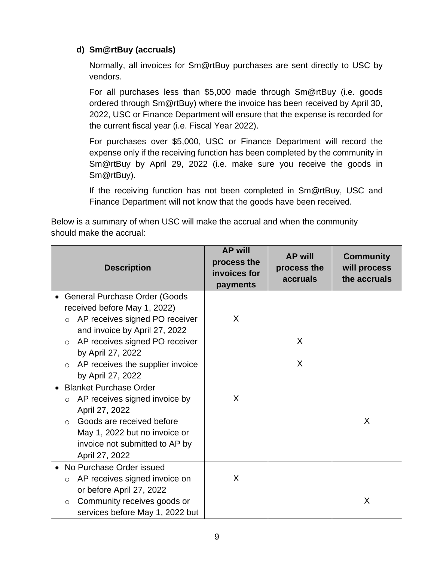## **d) Sm@rtBuy (accruals)**

Normally, all invoices for Sm@rtBuy purchases are sent directly to USC by vendors.

For all purchases less than \$5,000 made through Sm@rtBuy (i.e. goods ordered through Sm@rtBuy) where the invoice has been received by April 30, 2022, USC or Finance Department will ensure that the expense is recorded for the current fiscal year (i.e. Fiscal Year 2022).

For purchases over \$5,000, USC or Finance Department will record the expense only if the receiving function has been completed by the community in Sm@rtBuy by April 29, 2022 (i.e. make sure you receive the goods in Sm@rtBuy).

If the receiving function has not been completed in Sm@rtBuy, USC and Finance Department will not know that the goods have been received.

Below is a summary of when USC will make the accrual and when the community should make the accrual:

| <b>Description</b>                          | <b>AP will</b><br>process the<br>invoices for<br>payments | <b>AP will</b><br>process the<br><b>accruals</b> | <b>Community</b><br>will process<br>the accruals |
|---------------------------------------------|-----------------------------------------------------------|--------------------------------------------------|--------------------------------------------------|
| <b>General Purchase Order (Goods</b>        |                                                           |                                                  |                                                  |
| received before May 1, 2022)                |                                                           |                                                  |                                                  |
| AP receives signed PO receiver<br>$\circ$   | X                                                         |                                                  |                                                  |
| and invoice by April 27, 2022               |                                                           |                                                  |                                                  |
| $\circ$ AP receives signed PO receiver      |                                                           | X                                                |                                                  |
| by April 27, 2022                           |                                                           |                                                  |                                                  |
| AP receives the supplier invoice<br>$\circ$ |                                                           | X                                                |                                                  |
| by April 27, 2022                           |                                                           |                                                  |                                                  |
| • Blanket Purchase Order                    |                                                           |                                                  |                                                  |
| AP receives signed invoice by<br>$\circ$    | X                                                         |                                                  |                                                  |
| April 27, 2022                              |                                                           |                                                  |                                                  |
| Goods are received before<br>$\circ$        |                                                           |                                                  | X                                                |
| May 1, 2022 but no invoice or               |                                                           |                                                  |                                                  |
| invoice not submitted to AP by              |                                                           |                                                  |                                                  |
| April 27, 2022                              |                                                           |                                                  |                                                  |
| • No Purchase Order issued                  |                                                           |                                                  |                                                  |
| AP receives signed invoice on<br>$\circ$    | X                                                         |                                                  |                                                  |
| or before April 27, 2022                    |                                                           |                                                  |                                                  |
| Community receives goods or<br>$\circ$      |                                                           |                                                  | X                                                |
| services before May 1, 2022 but             |                                                           |                                                  |                                                  |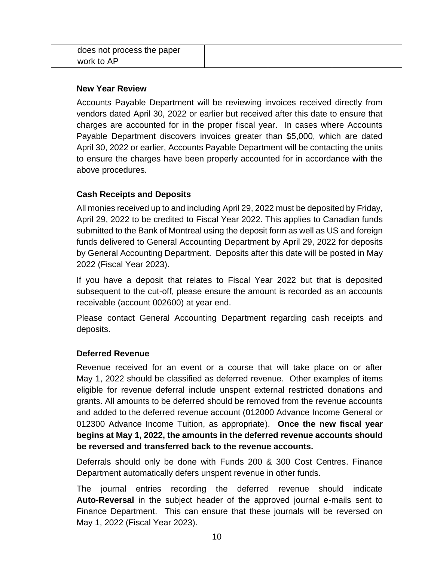| does not process the paper |  |  |
|----------------------------|--|--|
| work to AP                 |  |  |

#### <span id="page-9-0"></span>**New Year Review**

Accounts Payable Department will be reviewing invoices received directly from vendors dated April 30, 2022 or earlier but received after this date to ensure that charges are accounted for in the proper fiscal year. In cases where Accounts Payable Department discovers invoices greater than \$5,000, which are dated April 30, 2022 or earlier, Accounts Payable Department will be contacting the units to ensure the charges have been properly accounted for in accordance with the above procedures.

## <span id="page-9-1"></span>**[Cash Receipts and Deposits](#page-1-0)**

All monies received up to and including April 29, 2022 must be deposited by Friday, April 29, 2022 to be credited to Fiscal Year 2022. This applies to Canadian funds submitted to the Bank of Montreal using the deposit form as well as US and foreign funds delivered to General Accounting Department by April 29, 2022 for deposits by General Accounting Department. Deposits after this date will be posted in May 2022 (Fiscal Year 2023).

If you have a deposit that relates to Fiscal Year 2022 but that is deposited subsequent to the cut-off, please ensure the amount is recorded as an accounts receivable (account 002600) at year end.

Please contact General Accounting Department regarding cash receipts and deposits.

#### <span id="page-9-2"></span>**Deferred Revenue**

Revenue received for an event or a course that will take place on or after May 1, 2022 should be classified as deferred revenue. Other examples of items eligible for revenue deferral include unspent external restricted donations and grants. All amounts to be deferred should be removed from the revenue accounts and added to the deferred revenue account (012000 Advance Income General or 012300 Advance Income Tuition, as appropriate). **Once the new fiscal year begins at May 1, 2022, the amounts in the deferred revenue accounts should be reversed and transferred back to the revenue accounts.** 

Deferrals should only be done with Funds 200 & 300 Cost Centres. Finance Department automatically defers unspent revenue in other funds.

The journal entries recording the deferred revenue should indicate **Auto-Reversal** in the subject header of the approved journal e-mails sent to Finance Department. This can ensure that these journals will be reversed on May 1, 2022 (Fiscal Year 2023).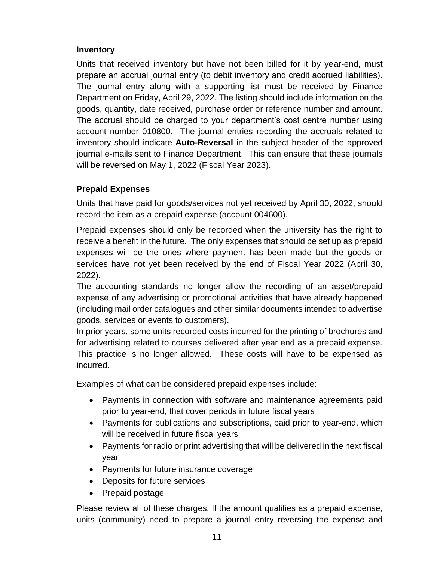#### <span id="page-10-0"></span>**Inventory**

Units that received inventory but have not been billed for it by year-end, must prepare an accrual journal entry (to debit inventory and credit accrued liabilities). The journal entry along with a supporting list must be received by Finance Department on Friday, April 29, 2022. The listing should include information on the goods, quantity, date received, purchase order or reference number and amount. The accrual should be charged to your department's cost centre number using account number 010800. The journal entries recording the accruals related to inventory should indicate **Auto-Reversal** in the subject header of the approved journal e-mails sent to Finance Department. This can ensure that these journals will be reversed on May 1, 2022 (Fiscal Year 2023).

## <span id="page-10-1"></span>**Prepaid Expenses**

Units that have paid for goods/services not yet received by April 30, 2022, should record the item as a prepaid expense (account 004600).

Prepaid expenses should only be recorded when the university has the right to receive a benefit in the future. The only expenses that should be set up as prepaid expenses will be the ones where payment has been made but the goods or services have not yet been received by the end of Fiscal Year 2022 (April 30, 2022).

The accounting standards no longer allow the recording of an asset/prepaid expense of any advertising or promotional activities that have already happened (including mail order catalogues and other similar documents intended to advertise goods, services or events to customers).

In prior years, some units recorded costs incurred for the printing of brochures and for advertising related to courses delivered after year end as a prepaid expense. This practice is no longer allowed. These costs will have to be expensed as incurred.

Examples of what can be considered prepaid expenses include:

- Payments in connection with software and maintenance agreements paid prior to year-end, that cover periods in future fiscal years
- Payments for publications and subscriptions, paid prior to year-end, which will be received in future fiscal years
- Payments for radio or print advertising that will be delivered in the next fiscal year
- Payments for future insurance coverage
- Deposits for future services
- Prepaid postage

Please review all of these charges. If the amount qualifies as a prepaid expense, units (community) need to prepare a journal entry reversing the expense and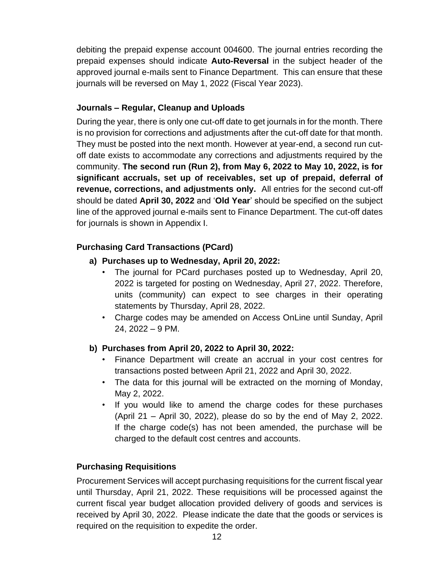debiting the prepaid expense account 004600. The journal entries recording the prepaid expenses should indicate **Auto-Reversal** in the subject header of the approved journal e-mails sent to Finance Department. This can ensure that these journals will be reversed on May 1, 2022 (Fiscal Year 2023).

## <span id="page-11-0"></span>**Journals – Regular, Cleanup and Uploads**

During the year, there is only one cut-off date to get journals in for the month. There is no provision for corrections and adjustments after the cut-off date for that month. They must be posted into the next month. However at year-end, a second run cutoff date exists to accommodate any corrections and adjustments required by the community. **The second run (Run 2), from May 6, 2022 to May 10, 2022, is for significant accruals, set up of receivables, set up of prepaid, deferral of revenue, corrections, and adjustments only.** All entries for the second cut-off should be dated **April 30, 2022** and '**Old Year**' should be specified on the subject line of the approved journal e-mails sent to Finance Department. The cut-off dates for journals is shown in Appendix I.

## <span id="page-11-1"></span>**Purchasing [Card Transactions](#page-1-0) (PCard)**

## **a) Purchases up to Wednesday, April 20, 2022:**

- The journal for PCard purchases posted up to Wednesday, April 20, 2022 is targeted for posting on Wednesday, April 27, 2022. Therefore, units (community) can expect to see charges in their operating statements by Thursday, April 28, 2022.
- Charge codes may be amended on Access OnLine until Sunday, April 24, 2022 – 9 PM.

#### **b) Purchases from April 20, 2022 to April 30, 2022:**

- Finance Department will create an accrual in your cost centres for transactions posted between April 21, 2022 and April 30, 2022.
- The data for this journal will be extracted on the morning of Monday, May 2, 2022.
- If you would like to amend the charge codes for these purchases (April 21 – April 30, 2022), please do so by the end of May 2, 2022. If the charge code(s) has not been amended, the purchase will be charged to the default cost centres and accounts.

#### <span id="page-11-2"></span>**[Purchasing Requisitions](#page-1-0)**

Procurement Services will accept purchasing requisitions for the current fiscal year until Thursday, April 21, 2022. These requisitions will be processed against the current fiscal year budget allocation provided delivery of goods and services is received by April 30, 2022. Please indicate the date that the goods or services is required on the requisition to expedite the order.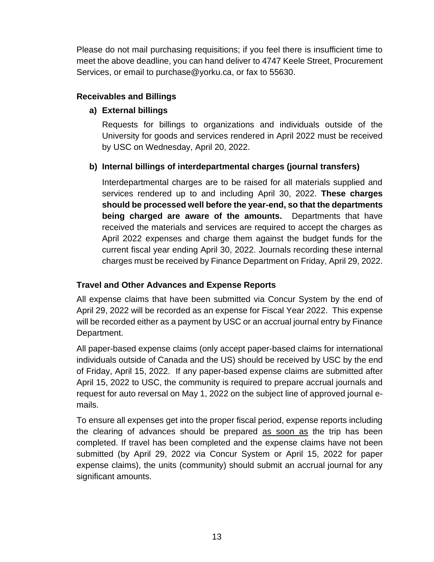Please do not mail purchasing requisitions; if you feel there is insufficient time to meet the above deadline, you can hand deliver to 4747 Keele Street, Procurement Services, or email to purchase@yorku.ca, or fax to 55630.

## <span id="page-12-0"></span>**[Receivables and](#page-1-0) Billings**

## **a) External billings**

Requests for billings to organizations and individuals outside of the University for goods and services rendered in April 2022 must be received by USC on Wednesday, April 20, 2022.

## **b) Internal billings of interdepartmental charges (journal transfers)**

Interdepartmental charges are to be raised for all materials supplied and services rendered up to and including April 30, 2022. **These charges should be processed well before the year-end, so that the departments being charged are aware of the amounts.** Departments that have received the materials and services are required to accept the charges as April 2022 expenses and charge them against the budget funds for the current fiscal year ending April 30, 2022. Journals recording these internal charges must be received by Finance Department on Friday, April 29, 2022.

## <span id="page-12-1"></span>**Travel [and Other Advances and Expense Reports](#page-1-0)**

All expense claims that have been submitted via Concur System by the end of April 29, 2022 will be recorded as an expense for Fiscal Year 2022. This expense will be recorded either as a payment by USC or an accrual journal entry by Finance Department.

All paper-based expense claims (only accept paper-based claims for international individuals outside of Canada and the US) should be received by USC by the end of Friday, April 15, 2022. If any paper-based expense claims are submitted after April 15, 2022 to USC, the community is required to prepare accrual journals and request for auto reversal on May 1, 2022 on the subject line of approved journal emails.

To ensure all expenses get into the proper fiscal period, expense reports including the clearing of advances should be prepared as soon as the trip has been completed. If travel has been completed and the expense claims have not been submitted (by April 29, 2022 via Concur System or April 15, 2022 for paper expense claims), the units (community) should submit an accrual journal for any significant amounts.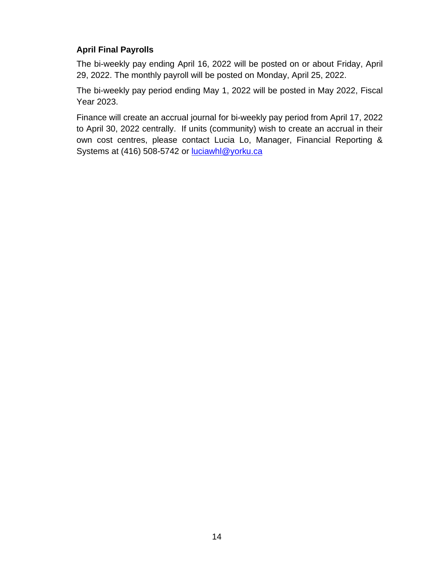## <span id="page-13-0"></span>**[April Final Payrolls](#page-1-0)**

The bi-weekly pay ending April 16, 2022 will be posted on or about Friday, April 29, 2022. The monthly payroll will be posted on Monday, April 25, 2022.

The bi-weekly pay period ending May 1, 2022 will be posted in May 2022, Fiscal Year 2023.

Finance will create an accrual journal for bi-weekly pay period from April 17, 2022 to April 30, 2022 centrally. If units (community) wish to create an accrual in their own cost centres, please contact Lucia Lo, Manager, Financial Reporting & Systems at (416) 508-5742 or [luciawhl@yorku.ca](mailto:luciawhl@yorku.ca)